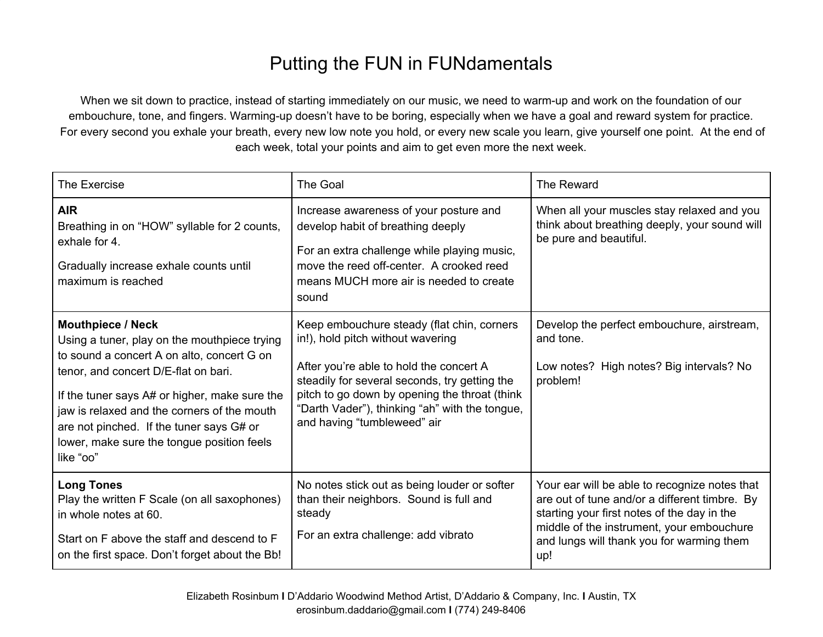## Putting the FUN in FUNdamentals

When we sit down to practice, instead of starting immediately on our music, we need to warm-up and work on the foundation of our embouchure, tone, and fingers. Warming-up doesn't have to be boring, especially when we have a goal and reward system for practice. For every second you exhale your breath, every new low note you hold, or every new scale you learn, give yourself one point. At the end of each week, total your points and aim to get even more the next week.

| The Exercise                                                                                                                                                                                                                                                                                                                                                          | The Goal                                                                                                                                                                                                                                                                                                      | The Reward                                                                                                                                                                                                                                     |
|-----------------------------------------------------------------------------------------------------------------------------------------------------------------------------------------------------------------------------------------------------------------------------------------------------------------------------------------------------------------------|---------------------------------------------------------------------------------------------------------------------------------------------------------------------------------------------------------------------------------------------------------------------------------------------------------------|------------------------------------------------------------------------------------------------------------------------------------------------------------------------------------------------------------------------------------------------|
| <b>AIR</b><br>Breathing in on "HOW" syllable for 2 counts,<br>exhale for 4.<br>Gradually increase exhale counts until<br>maximum is reached                                                                                                                                                                                                                           | Increase awareness of your posture and<br>develop habit of breathing deeply<br>For an extra challenge while playing music,<br>move the reed off-center. A crooked reed<br>means MUCH more air is needed to create<br>sound                                                                                    | When all your muscles stay relaxed and you<br>think about breathing deeply, your sound will<br>be pure and beautiful.                                                                                                                          |
| <b>Mouthpiece / Neck</b><br>Using a tuner, play on the mouthpiece trying<br>to sound a concert A on alto, concert G on<br>tenor, and concert D/E-flat on bari.<br>If the tuner says A# or higher, make sure the<br>jaw is relaxed and the corners of the mouth<br>are not pinched. If the tuner says G# or<br>lower, make sure the tongue position feels<br>like "oo" | Keep embouchure steady (flat chin, corners<br>in!), hold pitch without wavering<br>After you're able to hold the concert A<br>steadily for several seconds, try getting the<br>pitch to go down by opening the throat (think<br>"Darth Vader"), thinking "ah" with the tongue,<br>and having "tumbleweed" air | Develop the perfect embouchure, airstream,<br>and tone.<br>Low notes? High notes? Big intervals? No<br>problem!                                                                                                                                |
| <b>Long Tones</b><br>Play the written F Scale (on all saxophones)<br>in whole notes at 60.<br>Start on F above the staff and descend to F<br>on the first space. Don't forget about the Bb!                                                                                                                                                                           | No notes stick out as being louder or softer<br>than their neighbors. Sound is full and<br>steady<br>For an extra challenge: add vibrato                                                                                                                                                                      | Your ear will be able to recognize notes that<br>are out of tune and/or a different timbre. By<br>starting your first notes of the day in the<br>middle of the instrument, your embouchure<br>and lungs will thank you for warming them<br>up! |